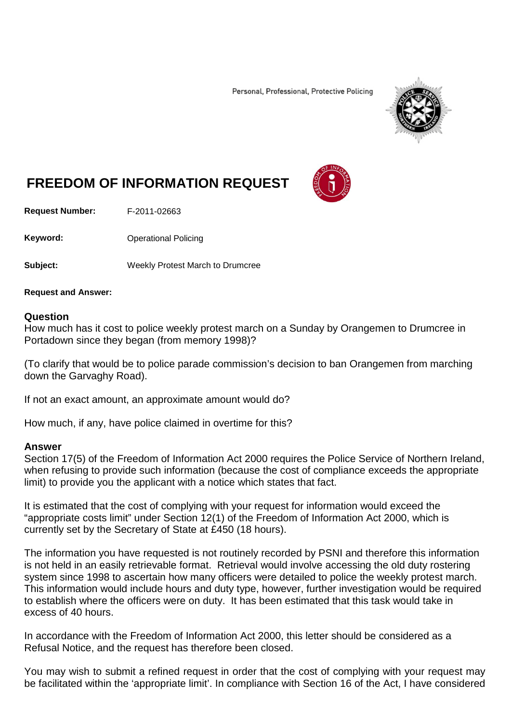Personal, Professional, Protective Policing



## **FREEDOM OF INFORMATION REQUEST**

**Request Number:** F-2011-02663

**Keyword:** Operational Policing

**Subject:** Weekly Protest March to Drumcree

**Request and Answer:**

## **Question**

How much has it cost to police weekly protest march on a Sunday by Orangemen to Drumcree in Portadown since they began (from memory 1998)?

(To clarify that would be to police parade commission's decision to ban Orangemen from marching down the Garvaghy Road).

If not an exact amount, an approximate amount would do?

How much, if any, have police claimed in overtime for this?

## **Answer**

Section 17(5) of the Freedom of Information Act 2000 requires the Police Service of Northern Ireland, when refusing to provide such information (because the cost of compliance exceeds the appropriate limit) to provide you the applicant with a notice which states that fact.

It is estimated that the cost of complying with your request for information would exceed the "appropriate costs limit" under Section 12(1) of the Freedom of Information Act 2000, which is currently set by the Secretary of State at £450 (18 hours).

The information you have requested is not routinely recorded by PSNI and therefore this information is not held in an easily retrievable format. Retrieval would involve accessing the old duty rostering system since 1998 to ascertain how many officers were detailed to police the weekly protest march. This information would include hours and duty type, however, further investigation would be required to establish where the officers were on duty. It has been estimated that this task would take in excess of 40 hours.

In accordance with the Freedom of Information Act 2000, this letter should be considered as a Refusal Notice, and the request has therefore been closed.

You may wish to submit a refined request in order that the cost of complying with your request may be facilitated within the 'appropriate limit'. In compliance with Section 16 of the Act, I have considered